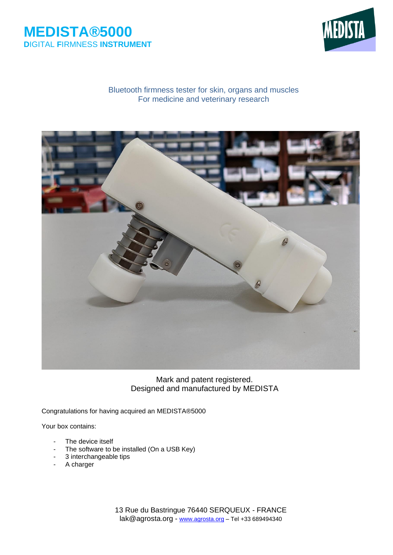



### Bluetooth firmness tester for skin, organs and muscles For medicine and veterinary research



Mark and patent registered. Designed and manufactured by MEDISTA

Congratulations for having acquired an MEDISTA®5000

Your box contains:

- The device itself
- The software to be installed (On a USB Key)
- 3 interchangeable tips
- A charger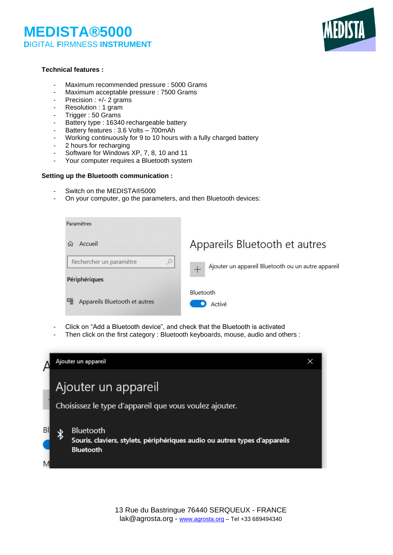

#### **Technical features :**

- Maximum recommended pressure : 5000 Grams
- Maximum acceptable pressure : 7500 Grams
- Precision : +/- 2 grams
- Resolution : 1 gram
- Trigger : 50 Grams
- Battery type : 16340 rechargeable battery
- Battery features : 3.6 Volts 700mAh
- Working continuously for 9 to 10 hours with a fully charged battery
- 2 hours for recharging
- Software for Windows XP, 7, 8, 10 and 11
- Your computer requires a Bluetooth system

#### **Setting up the Bluetooth communication :**

- Switch on the MEDISTA®5000
- On your computer, go the parameters, and then Bluetooth devices:

| Paramètres                         |                                                         |
|------------------------------------|---------------------------------------------------------|
| Accueil<br>(n)                     | Appareils Bluetooth et autres                           |
| Rechercher un paramètre<br>Q       | Ajouter un appareil Bluetooth ou un autre appareil<br>┶ |
| Périphériques                      |                                                         |
| 雫<br>Appareils Bluetooth et autres | Bluetooth<br>Activé                                     |

- Click on "Add a Bluetooth device", and check that the Bluetooth is activated
- Then click on the first category : Bluetooth keyboards, mouse, audio and others :

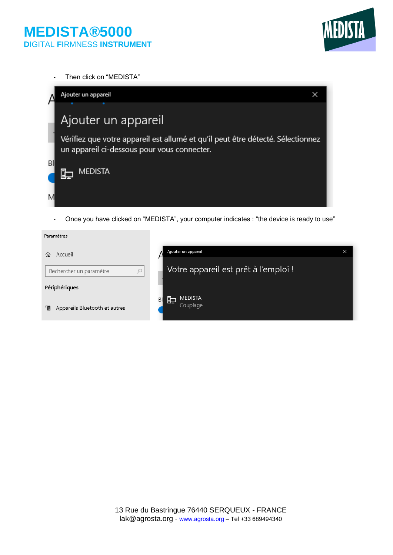

- Then click on "MEDISTA"



- Once you have clicked on "MEDISTA", your computer indicates : "the device is ready to use"

| Ajouter un appareil                   |  |
|---------------------------------------|--|
| Votre appareil est prêt à l'emploi !  |  |
|                                       |  |
| <b>MEDISTA</b><br>臣<br>BI<br>Couplage |  |
|                                       |  |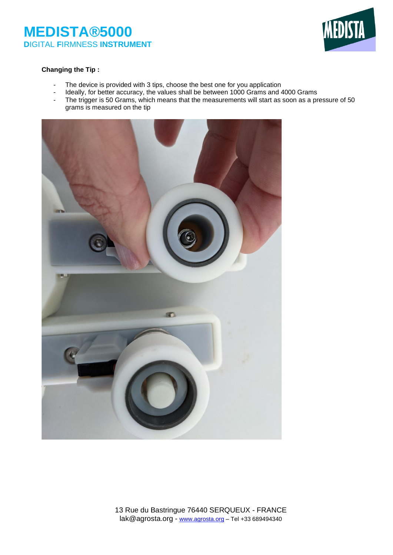

#### **Changing the Tip :**

- The device is provided with 3 tips, choose the best one for you application
- Ideally, for better accuracy, the values shall be between 1000 Grams and 4000 Grams
- The trigger is 50 Grams, which means that the measurements will start as soon as a pressure of 50 grams is measured on the tip

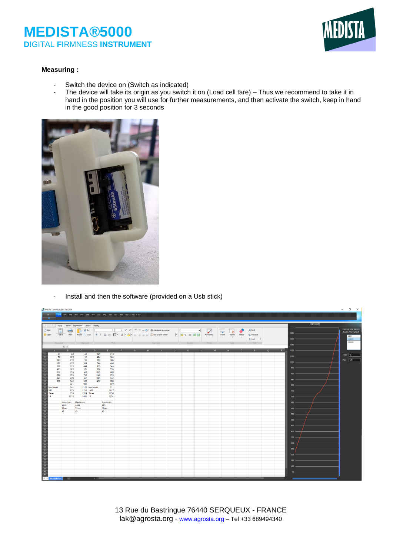

#### **Measuring :**

- Switch the device on (Switch as indicated)
- The device will take its origin as you switch it on (Load cell tare) Thus we recommend to take it in hand in the position you will use for further measurements, and then activate the switch, keep in hand in the good position for 3 seconds



- Install and then the software (provided on a Usb stick)

| MEDISTA FIRMNESS TESTER                                                      |                                 |                                       |                                                         |                                         |                                        |                                                                                                                                       |               |           |  |                                                           |  |                 |                                                                                     |               |                                           |          |   |                                                                             |  | σ<br>$\times$<br>$-$                                          |
|------------------------------------------------------------------------------|---------------------------------|---------------------------------------|---------------------------------------------------------|-----------------------------------------|----------------------------------------|---------------------------------------------------------------------------------------------------------------------------------------|---------------|-----------|--|-----------------------------------------------------------|--|-----------------|-------------------------------------------------------------------------------------|---------------|-------------------------------------------|----------|---|-----------------------------------------------------------------------------|--|---------------------------------------------------------------|
| -81                                                                          |                                 |                                       |                                                         |                                         |                                        | N'1 218 304 386 468 546 596 680 725 742 785 827 911 1027 1152 1251                                                                    |               |           |  |                                                           |  |                 |                                                                                     |               |                                           |          |   |                                                                             |  |                                                               |
| <b>Firmness</b><br>$\leftrightarrow$<br>Home hsert Expression Layout Display |                                 |                                       |                                                         |                                         |                                        |                                                                                                                                       |               |           |  |                                                           |  |                 |                                                                                     |               |                                           |          |   |                                                                             |  |                                                               |
| New<br>in Open                                                               | 冒<br>Save                       | $\frac{1}{Pint}$                      | Ť<br>$\frac{1}{26}$ Cut<br>Paste $E \equiv \text{Copy}$ |                                         |                                        | <b>B</b> $I \perp \omega + \square$ $\cdot \triangle \cdot \triangle$ $\cdot \square$ $\equiv \equiv \equiv \square$ Merge and center |               |           |  | $  \cdot  $ 39 x $\infty$ $\frac{10}{20}$ $\frac{10}{20}$ |  | 财<br>Formatting | Ę.<br>$\overline{\mathbf{x}}$<br>Insert<br>Delete<br>$\scriptstyle\star$<br>$\star$ | Erase<br>$\;$ | $O$ Find<br><b>Co</b> Replace<br>$$$ Sort |          |   | 1250<br>1200                                                                |  | Click on your device<br>Usually, the highest<br>COM1<br>COM29 |
|                                                                              | <b>Document</b>                 |                                       | Clipboard                                               |                                         | Font                                   |                                                                                                                                       |               | Allonment |  |                                                           |  | <b>Styles</b>   | Cells                                                                               |               | Edit                                      |          |   | 1150                                                                        |  | COM28                                                         |
|                                                                              | $\times$ $\vee$<br>$\mathbf{R}$ |                                       | $\epsilon$                                              | n                                       |                                        |                                                                                                                                       | $\mathcal{L}$ | H         |  |                                                           |  | $\mathbf{M}$    | N                                                                                   | $\Omega$      | P.                                        | $\Omega$ | R | 1100                                                                        |  |                                                               |
|                                                                              |                                 | 68<br>103<br>139<br>178<br>225<br>303 | 62<br>115<br>198<br>361<br>441<br>576                   | 369<br>484<br>593<br>744<br>875<br>920  | 218<br>304<br>386<br>468<br>546<br>596 |                                                                                                                                       |               |           |  |                                                           |  |                 |                                                                                     |               |                                           |          |   | $1050 -$<br>$1000 -$<br>$950 -$                                             |  | Timer 15<br>Max 1251                                          |
|                                                                              |                                 | 355<br>399<br>470<br>569<br>621       | 667<br>759<br>866<br>903<br>992                         | 1025<br>1140<br>1309<br>1432            | 680<br>725<br>742<br>785<br>827        |                                                                                                                                       |               |           |  |                                                           |  |                 |                                                                                     |               |                                           |          |   | 900<br>850<br>800                                                           |  |                                                               |
|                                                                              |                                 | 741<br>879<br>990<br>1210             | 1483 10                                                 | 1102 Maximum<br>1218 1432<br>1351 Timer | 911<br>1027<br>1153<br>1251            |                                                                                                                                       |               |           |  |                                                           |  |                 |                                                                                     |               |                                           |          |   | 750<br>700                                                                  |  |                                                               |
|                                                                              | 1210<br>Timer<br>15             |                                       | Maximum Maximum<br>1483<br>Timer<br>15                  |                                         | Maximum<br>1251<br>Timer<br>15         |                                                                                                                                       |               |           |  |                                                           |  |                 |                                                                                     |               |                                           |          |   | 650<br>600                                                                  |  |                                                               |
|                                                                              | $\bigoplus$                     |                                       |                                                         | $\sim$                                  |                                        |                                                                                                                                       |               |           |  |                                                           |  |                 |                                                                                     |               |                                           |          |   | $550 -$<br>$500 -$<br>$450 -$<br>$400 -$<br>350<br>300<br>250<br>200<br>100 |  |                                                               |